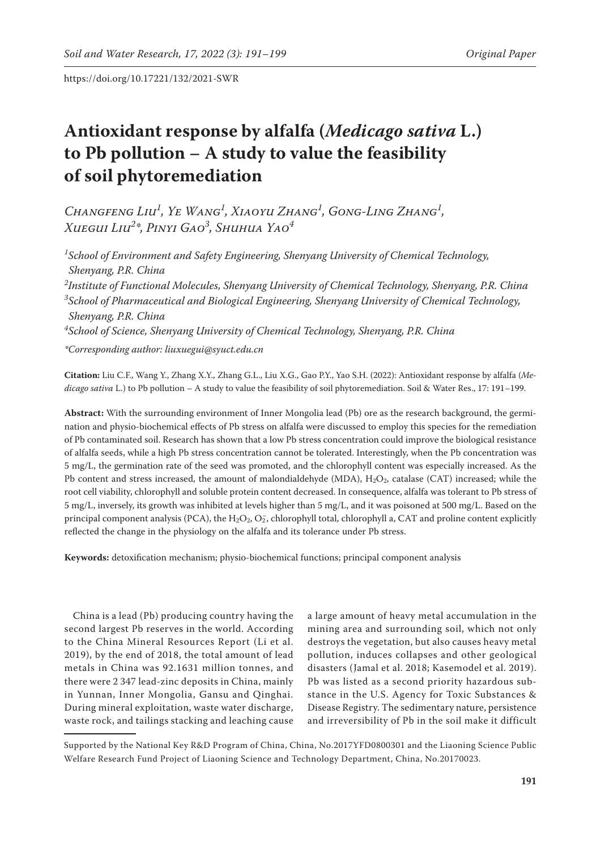# **Antioxidant response by alfalfa (***Medicago sativa* **L.) to Pb pollution – A study to value the feasibility of soil phytoremediation**

*Changfeng Liu1 , Ye Wang1 , Xiaoyu Zhang1 , Gong-Ling Zhang1 , Xuegui Liu2 \*, Pinyi Gao3 , Shuhua Yao4*

*1 School of Environment and Safety Engineering, Shenyang University of Chemical Technology, Shenyang, P.R. China*

*2 Institute of Functional Molecules, Shenyang University of Chemical Technology, Shenyang, P.R. China 3 School of Pharmaceutical and Biological Engineering, Shenyang University of Chemical Technology, Shenyang, P.R. China*

*4 School of Science, Shenyang University of Chemical Technology, Shenyang, P.R. China*

*\*Corresponding author: liuxuegui@syuct.edu.cn* 

**Citation:** Liu C.F., Wang Y., Zhang X.Y., Zhang G.L., Liu X.G., Gao P.Y., Yao S.H. (2022): Antioxidant response by alfalfa (*Medicago sativa* L.) to Pb pollution – A study to value the feasibility of soil phytoremediation. Soil & Water Res., 17: 191–199.

**Abstract:** With the surrounding environment of Inner Mongolia lead (Pb) ore as the research background, the germination and physio-biochemical effects of Pb stress on alfalfa were discussed to employ this species for the remediation of Pb contaminated soil. Research has shown that a low Pb stress concentration could improve the biological resistance of alfalfa seeds, while a high Pb stress concentration cannot be tolerated. Interestingly, when the Pb concentration was 5 mg/L, the germination rate of the seed was promoted, and the chlorophyll content was especially increased. As the Pb content and stress increased, the amount of malondialdehyde (MDA),  $H_2O_2$ , catalase (CAT) increased; while the root cell viability, chlorophyll and soluble protein content decreased. In consequence, alfalfa was tolerant to Pb stress of 5 mg/L, inversely, its growth was inhibited at levels higher than 5 mg/L, and it was poisoned at 500 mg/L. Based on the principal component analysis (PCA), the  $H_2O_2$ ,  $O_2$ , chlorophyll total, chlorophyll a, CAT and proline content explicitly reflected the change in the physiology on the alfalfa and its tolerance under Pb stress.

**Keywords:** detoxification mechanism; physio-biochemical functions; principal component analysis

China is a lead (Pb) producing country having the second largest Pb reserves in the world. According to the China Mineral Resources Report (Li et al. 2019), by the end of 2018, the total amount of lead metals in China was 92.1631 million tonnes, and there were 2 347 lead-zinc deposits in China, mainly in Yunnan, Inner Mongolia, Gansu and Qinghai. During mineral exploitation, waste water discharge, waste rock, and tailings stacking and leaching cause

a large amount of heavy metal accumulation in the mining area and surrounding soil, which not only destroys the vegetation, but also causes heavy metal pollution, induces collapses and other geological disasters (Jamal et al. 2018; Kasemodel et al. 2019). Pb was listed as a second priority hazardous substance in the U.S. Agency for Toxic Substances & Disease Registry. The sedimentary nature, persistence and irreversibility of Pb in the soil make it difficult

Supported by the National Key R&D Program of China, China, No.2017YFD0800301 and the Liaoning Science Public Welfare Research Fund Project of Liaoning Science and Technology Department, China, No.20170023.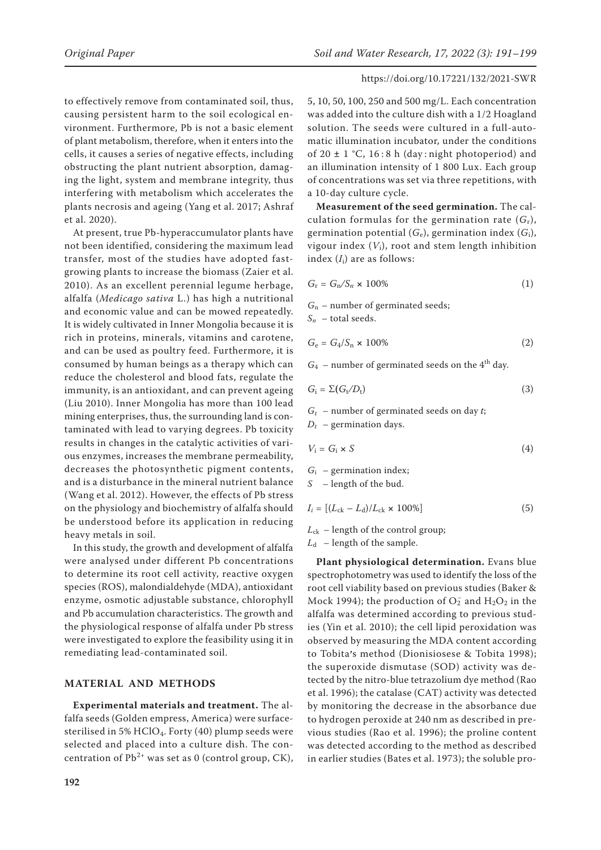to effectively remove from contaminated soil, thus, causing persistent harm to the soil ecological environment. Furthermore, Pb is not a basic element of plant metabolism, therefore, when it enters into the cells, it causes a series of negative effects, including obstructing the plant nutrient absorption, damaging the light, system and membrane integrity, thus interfering with metabolism which accelerates the plants necrosis and ageing (Yang et al. 2017; Ashraf et al. 2020).

At present, true Pb-hyperaccumulator plants have not been identified, considering the maximum lead transfer, most of the studies have adopted fastgrowing plants to increase the biomass (Zaier et al. 2010). As an excellent perennial legume herbage, alfalfa (*Medicago sativa* L.) has high a nutritional and economic value and can be mowed repeatedly. It is widely cultivated in Inner Mongolia because it is rich in proteins, minerals, vitamins and carotene, and can be used as poultry feed. Furthermore, it is consumed by human beings as a therapy which can reduce the cholesterol and blood fats, regulate the immunity, is an antioxidant, and can prevent ageing (Liu 2010). Inner Mongolia has more than 100 lead mining enterprises, thus, the surrounding land is contaminated with lead to varying degrees. Pb toxicity results in changes in the catalytic activities of various enzymes, increases the membrane permeability, decreases the photosynthetic pigment contents, and is a disturbance in the mineral nutrient balance (Wang et al. 2012). However, the effects of Pb stress on the physiology and biochemistry of alfalfa should be understood before its application in reducing heavy metals in soil.

In this study, the growth and development of alfalfa were analysed under different Pb concentrations to determine its root cell activity, reactive oxygen species (ROS), malondialdehyde (MDA), antioxidant enzyme, osmotic adjustable substance, chlorophyll and Pb accumulation characteristics. The growth and the physiological response of alfalfa under Pb stress were investigated to explore the feasibility using it in remediating lead-contaminated soil.

# **MATERIAL AND METHODS**

**Experimental materials and treatment.** The alfalfa seeds (Golden empress, America) were surfacesterilised in 5% HClO<sub>4</sub>. Forty (40) plump seeds were selected and placed into a culture dish. The concentration of  $Pb^{2+}$  was set as 0 (control group, CK), 5, 10, 50, 100, 250 and 500 mg/L. Each concentration was added into the culture dish with a 1/2 Hoagland solution. The seeds were cultured in a full-automatic illumination incubator, under the conditions of 20 **±** 1 °C, 16 : 8 h (day : night photoperiod) and an illumination intensity of 1 800 Lux. Each group of concentrations was set via three repetitions, with a 10-day culture cycle.

**Measurement of the seed germination.** The calculation formulas for the germination rate  $(G_r)$ , germination potential  $(G_e)$ , germination index  $(G_i)$ , vigour index  $(V_i)$ , root and stem length inhibition index (*I*i) are as follows:

$$
G_{\rm r} = G_{\rm n}/S_n \times 100\%
$$
 (1)

*G*n – number of germinated seeds;

 $S_n$  – total seeds.

$$
G_{\rm e} = G_4/S_{\rm n} \times 100\%
$$
\n<sup>(2)</sup>

 $G_4$  – number of germinated seeds on the  $4<sup>th</sup>$  day.

$$
G_{\rm i} = \Sigma (G_{\rm t}/D_{\rm t}) \tag{3}
$$

*Gt* – number of germinated seeds on day *t*;  $D_t$  – germination days.

$$
V_i = G_i \times S \tag{4}
$$

 $G_i$  – germination index;

*S* – length of the bud.

 $I_i = [(L_{ck} - L_d)/L_{ck} \times 100\%]$  (5)

 $L_{ck}$  – length of the control group;

 $L_d$  – length of the sample.

**Plant physiological determination.** Evans blue spectrophotometry was used to identify the loss of the root cell viability based on previous studies (Baker & Mock 1994); the production of  $O_2^-$  and  $H_2O_2$  in the alfalfa was determined according to previous studies (Yin et al. 2010); the cell lipid peroxidation was observed by measuring the MDA content according to Tobita's method (Dionisiosese & Tobita 1998); the superoxide dismutase (SOD) activity was detected by the nitro-blue tetrazolium dye method (Rao et al. 1996); the catalase (CAT) activity was detected by monitoring the decrease in the absorbance due to hydrogen peroxide at 240 nm as described in previous studies (Rao et al. 1996); the proline content was detected according to the method as described in earlier studies (Bates et al. 1973); the soluble pro-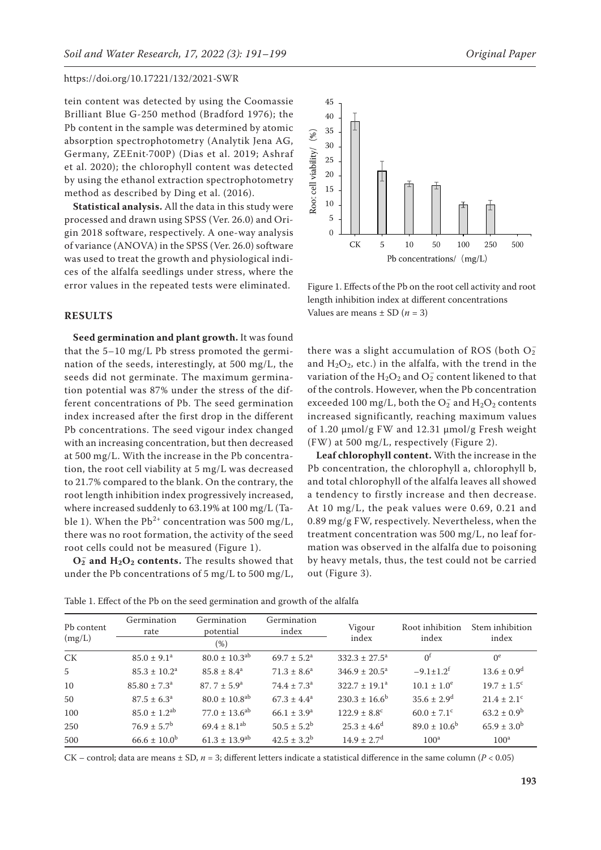tein content was detected by using the Coomassie Brilliant Blue G-250 method (Bradford 1976); the Pb content in the sample was determined by atomic absorption spectrophotometry (Analytik Jena AG, Germany, ZEEnit·700P) (Dias et al. 2019; Ashraf et al. 2020); the chlorophyll content was detected by using the ethanol extraction spectrophotometry method as described by Ding et al. (2016).

**Statistical analysis.** All the data in this study were processed and drawn using SPSS (Ver. 26.0) and Origin 2018 software, respectively. A one-way analysis of variance (ANOVA) in the SPSS (Ver. 26.0) software was used to treat the growth and physiological indices of the alfalfa seedlings under stress, where the error values in the repeated tests were eliminated.

### **RESULTS**

**Seed germination and plant growth.** It was found that the  $5-10$  mg/L Pb stress promoted the germination of the seeds, interestingly, at 500 mg/L, the seeds did not germinate. The maximum germination potential was 87% under the stress of the different concentrations of Pb. The seed germination index increased after the first drop in the different Pb concentrations. The seed vigour index changed with an increasing concentration, but then decreased at 500 mg/L. With the increase in the Pb concentration, the root cell viability at 5 mg/L was decreased to 21.7% compared to the blank. On the contrary, the root length inhibition index progressively increased, where increased suddenly to 63.19% at 100 mg/L (Table 1). When the  $Pb^{2+}$  concentration was 500 mg/L, there was no root formation, the activity of the seed root cells could not be measured (Figure 1).

 $O_2^-$  and  $H_2O_2$  contents. The results showed that under the Pb concentrations of 5 mg/L to 500 mg/L,



Figure 1. Effects of the Pb on the root cell activity and root length inhibition index at different concentrations Values are means  $\pm$  SD ( $n = 3$ )

there was a slight accumulation of ROS (both  $\overline{\mathrm{O2}}$ and  $H_2O_2$ , etc.) in the alfalfa, with the trend in the variation of the  $\rm H_2O_2$  and  $\rm O_2^-$  content likened to that of the controls. However, when the Pb concentration exceeded 100 mg/L, both the  $\mathrm{O}_2^-$  and  $\mathrm{H}_2\mathrm{O}_2$  contents increased significantly, reaching maximum values of 1.20 μmol/g FW and 12.31 μmol/g Fresh weight (FW) at 500 mg/L, respectively (Figure 2).

**Leaf chlorophyll content.** With the increase in the Pb concentration, the chlorophyll a, chlorophyll b, and total chlorophyll of the alfalfa leaves all showed a tendency to firstly increase and then decrease. At 10 mg/L, the peak values were 0.69, 0.21 and 0.89 mg/g FW, respectively. Nevertheless, when the treatment concentration was 500 mg/L, no leaf formation was observed in the alfalfa due to poisoning by heavy metals, thus, the test could not be carried out (Figure 3).

Table 1. Effect of the Pb on the seed germination and growth of the alfalfa

| Pb content<br>(mg/L) | Germination<br>rate          | Germination<br>potential<br>(%) | Germination<br>index      | Vigour<br>index              | Root inhibition<br>index    | Stem inhibition<br>index    |
|----------------------|------------------------------|---------------------------------|---------------------------|------------------------------|-----------------------------|-----------------------------|
| <b>CK</b>            | $85.0 \pm 9.1^a$             | $80.0 \pm 10.3$ <sup>ab</sup>   | $69.7 \pm 5.2^{\text{a}}$ | $332.3 \pm 27.5^a$           | 0 <sup>t</sup>              | $0^e$                       |
| 5                    | $85.3 \pm 10.2^{\text{a}}$   | $85.8 \pm 8.4^a$                | $71.3 \pm 8.6^a$          | $346.9 \pm 20.5^{\circ}$     | $-9.1 \pm 1.2$ <sup>f</sup> | $13.6 \pm 0.9$ <sup>d</sup> |
| 10                   | $85.80 \pm 7.3^{\circ}$      | $87.7 \pm 5.9^{\circ}$          | $74.4 \pm 7.3^{\circ}$    | $322.7 \pm 19.1^a$           | $10.1 \pm 1.0^e$            | $19.7 \pm 1.5$ <sup>c</sup> |
| 50                   | $87.5 \pm 6.3^{\circ}$       | $80.0 \pm 10.8$ <sup>ab</sup>   | $67.3 \pm 4.4^a$          | $230.3 \pm 16.6^b$           | $35.6 \pm 2.9^d$            | $21.4 \pm 2.1$ <sup>c</sup> |
| 100                  | $85.0 \pm 1.2$ <sup>ab</sup> | $77.0 \pm 13.6^{ab}$            | $66.1 \pm 3.9^{\rm a}$    | $122.9 \pm 8.8$ <sup>c</sup> | $60.0 \pm 7.1$ <sup>c</sup> | $63.2 \pm 0.9^{\rm b}$      |
| 250                  | $76.9 \pm 5.7^{\rm b}$       | $69.4 \pm 8.1$ <sup>ab</sup>    | $50.5 \pm 5.2^{\rm b}$    | $25.3 \pm 4.6^{\circ}$       | $89.0 \pm 10.6^{\circ}$     | $65.9 \pm 3.0^b$            |
| 500                  | $66.6 \pm 10.0^{\rm b}$      | $61.3 \pm 13.9$ <sup>ab</sup>   | $42.5 \pm 3.2^b$          | $14.9 \pm 2.7$ <sup>d</sup>  | 100 <sup>a</sup>            | 100 <sup>a</sup>            |

CK – control; data are means  $\pm$  SD,  $n = 3$ ; different letters indicate a statistical difference in the same column ( $P < 0.05$ )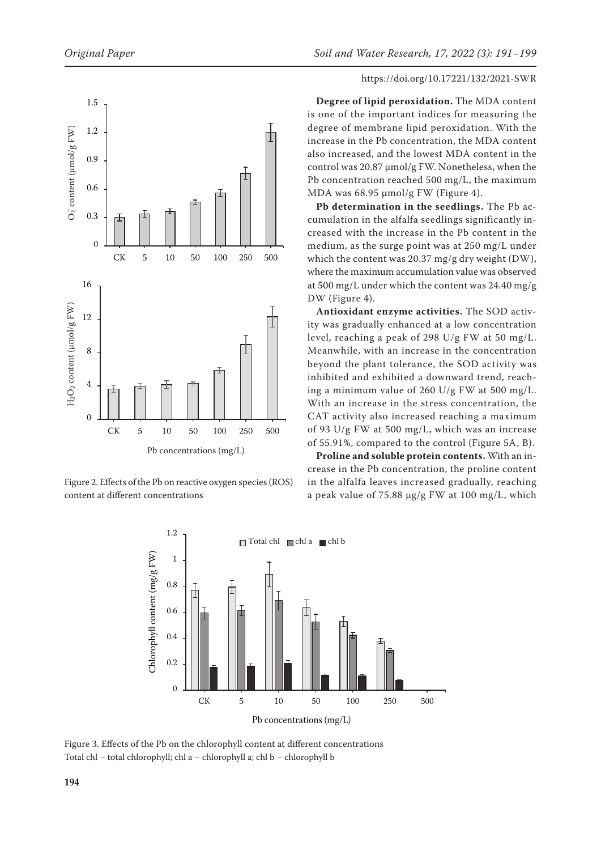

Figure 2. Effects of the Pb on reactive oxygen species (ROS) content at different concentrations

**Degree of lipid peroxidation.** The MDA content is one of the important indices for measuring the degree of membrane lipid peroxidation. With the increase in the Pb concentration, the MDA content also increased, and the lowest MDA content in the control was 20.87 μmol/g FW. Nonetheless, when the Pb concentration reached 500 mg/L, the maximum MDA was 68.95 μmol/g FW (Figure 4).

**Pb determination in the seedlings.** The Pb accumulation in the alfalfa seedlings significantly increased with the increase in the Pb content in the medium, as the surge point was at 250 mg/L under which the content was 20.37 mg/g dry weight (DW), where the maximum accumulation value was observed at 500 mg/L under which the content was 24.40 mg/g DW (Figure 4).

**Antioxidant enzyme activities.** The SOD activity was gradually enhanced at a low concentration level, reaching a peak of 298 U/g FW at 50 mg/L. Meanwhile, with an increase in the concentration beyond the plant tolerance, the SOD activity was inhibited and exhibited a downward trend, reaching a minimum value of 260 U/g FW at 500 mg/L. With an increase in the stress concentration, the CAT activity also increased reaching a maximum of 93 U/g FW at 500 mg/L, which was an increase of 55.91%, compared to the control (Figure 5A, B).

**Proline and soluble protein contents.** With an increase in the Pb concentration, the proline content in the alfalfa leaves increased gradually, reaching a peak value of 75.88 μg/g FW at 100 mg/L, which



Figure 3. Effects of the Pb on the chlorophyll content at different concentrations Total chl – total chlorophyll; chl a – chlorophyll a; chl b – chlorophyll b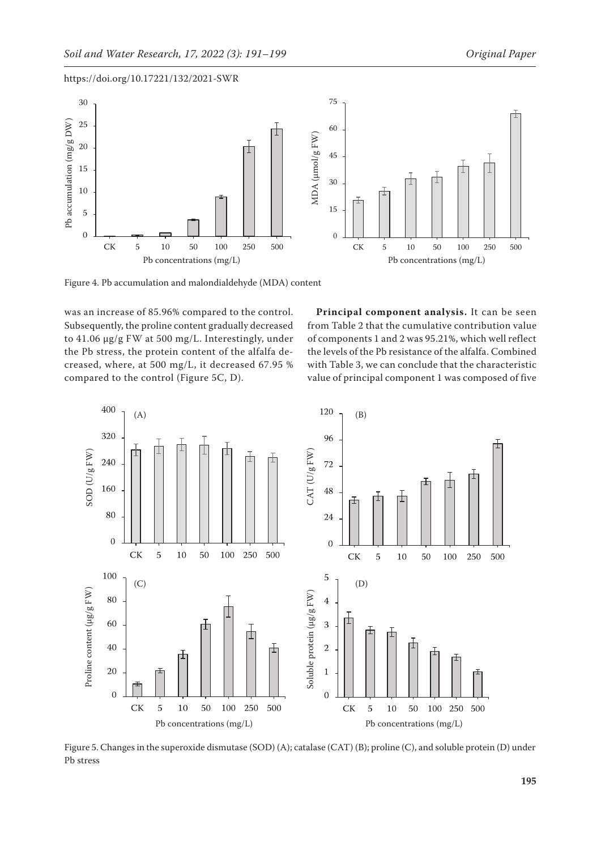

Figure 4. Pb accumulation and malondialdehyde (MDA) content

was an increase of 85.96% compared to the control. Subsequently, the proline content gradually decreased to 41.06 μg/g FW at 500 mg/L. Interestingly, under the Pb stress, the protein content of the alfalfa decreased, where, at 500 mg/L, it decreased 67.95 % compared to the control (Figure 5C, D).

**Principal component analysis.** It can be seen from Table 2 that the cumulative contribution value of components 1 and 2 was 95.21%, which well reflect the levels of the Pb resistance of the alfalfa. Combined with Table 3, we can conclude that the characteristic value of principal component 1 was composed of five



Figure 5. Changes in the superoxide dismutase (SOD) (A); catalase (CAT) (B); proline (C), and soluble protein (D) under Pb stress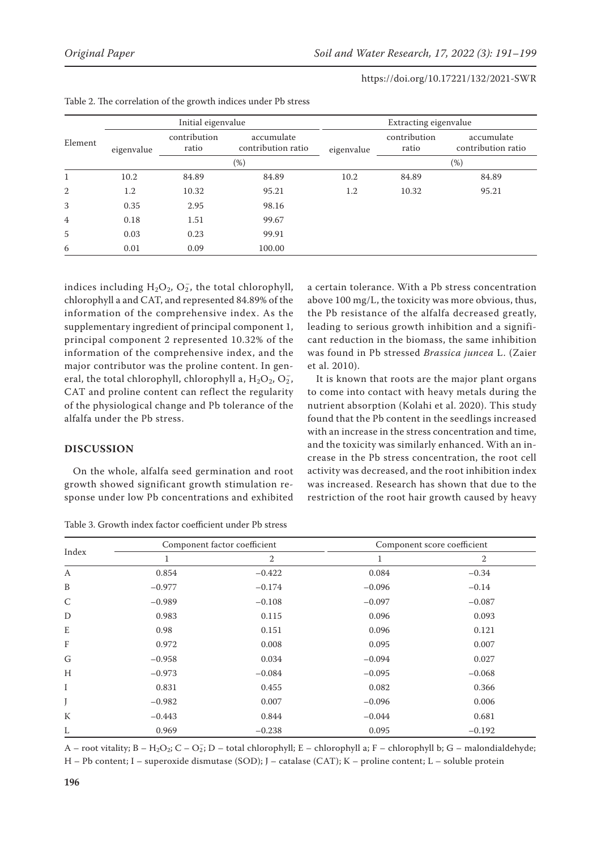|                | Initial eigenvalue |                       |                                  | Extracting eigenvalue |                       |                                  |
|----------------|--------------------|-----------------------|----------------------------------|-----------------------|-----------------------|----------------------------------|
| Element        | eigenvalue         | contribution<br>ratio | accumulate<br>contribution ratio | eigenvalue            | contribution<br>ratio | accumulate<br>contribution ratio |
|                |                    | $(\%)$                |                                  |                       | $(\%)$                |                                  |
| 1              | 10.2               | 84.89                 | 84.89                            | 10.2                  | 84.89                 | 84.89                            |
| 2              | 1.2                | 10.32                 | 95.21                            | 1.2                   | 10.32                 | 95.21                            |
| 3              | 0.35               | 2.95                  | 98.16                            |                       |                       |                                  |
| $\overline{4}$ | 0.18               | 1.51                  | 99.67                            |                       |                       |                                  |
| 5              | 0.03               | 0.23                  | 99.91                            |                       |                       |                                  |
| 6              | 0.01               | 0.09                  | 100.00                           |                       |                       |                                  |

indices including  $H_2O_2$ ,  $O_2$ , the total chlorophyll, chlorophyll a and CAT, and represented 84.89% of the information of the comprehensive index. As the supplementary ingredient of principal component 1, principal component 2 represented 10.32% of the information of the comprehensive index, and the major contributor was the proline content. In general, the total chlorophyll, chlorophyll a,  $H_2O_2$ ,  $O_2^-$ , CAT and proline content can reflect the regularity of the physiological change and Pb tolerance of the alfalfa under the Pb stress.

# **DISCUSSION**

On the whole, alfalfa seed germination and root growth showed significant growth stimulation response under low Pb concentrations and exhibited

Table 3. Growth index factor coefficient under Pb stress

a certain tolerance. With a Pb stress concentration above 100 mg/L, the toxicity was more obvious, thus, the Pb resistance of the alfalfa decreased greatly, leading to serious growth inhibition and a significant reduction in the biomass, the same inhibition was found in Pb stressed *Brassica juncea* L. (Zaier et al. 2010).

It is known that roots are the major plant organs to come into contact with heavy metals during the nutrient absorption (Kolahi et al. 2020). This study found that the Pb content in the seedlings increased with an increase in the stress concentration and time, and the toxicity was similarly enhanced. With an increase in the Pb stress concentration, the root cell activity was decreased, and the root inhibition index was increased. Research has shown that due to the restriction of the root hair growth caused by heavy

| Index |          | Component factor coefficient | Component score coefficient |                |  |
|-------|----------|------------------------------|-----------------------------|----------------|--|
|       | 1        | 2                            | 1                           | $\overline{2}$ |  |
| A     | 0.854    | $-0.422$                     | 0.084                       | $-0.34$        |  |
| B     | $-0.977$ | $-0.174$                     | $-0.096$                    | $-0.14$        |  |
| C     | $-0.989$ | $-0.108$                     | $-0.097$                    | $-0.087$       |  |
| D     | 0.983    | 0.115                        | 0.096                       | 0.093          |  |
| E     | 0.98     | 0.151                        | 0.096                       | 0.121          |  |
| F     | 0.972    | 0.008                        | 0.095                       | 0.007          |  |
| G     | $-0.958$ | 0.034                        | $-0.094$                    | 0.027          |  |
| H     | $-0.973$ | $-0.084$                     | $-0.095$                    | $-0.068$       |  |
| I     | 0.831    | 0.455                        | 0.082                       | 0.366          |  |
|       | $-0.982$ | 0.007                        | $-0.096$                    | 0.006          |  |
| К     | $-0.443$ | 0.844                        | $-0.044$                    | 0.681          |  |
| L     | 0.969    | $-0.238$                     | 0.095                       | $-0.192$       |  |

A – root vitality; B – H<sub>2</sub>O<sub>2</sub>; C – O<sub>2</sub>; D – total chlorophyll; E – chlorophyll a; F – chlorophyll b; G – malondialdehyde; H – Pb content; I – superoxide dismutase (SOD); J – catalase (CAT); K – proline content; L – soluble protein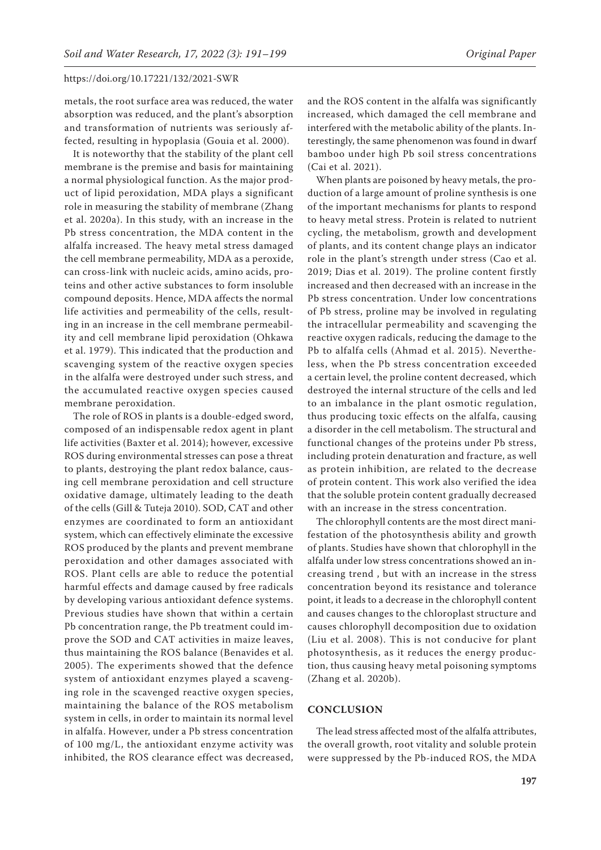metals, the root surface area was reduced, the water absorption was reduced, and the plant's absorption and transformation of nutrients was seriously affected, resulting in hypoplasia (Gouia et al. 2000).

It is noteworthy that the stability of the plant cell membrane is the premise and basis for maintaining a normal physiological function. As the major product of lipid peroxidation, MDA plays a significant role in measuring the stability of membrane (Zhang et al. 2020a). In this study, with an increase in the Pb stress concentration, the MDA content in the alfalfa increased. The heavy metal stress damaged the cell membrane permeability, MDA as a peroxide, can cross-link with nucleic acids, amino acids, proteins and other active substances to form insoluble compound deposits. Hence, MDA affects the normal life activities and permeability of the cells, resulting in an increase in the cell membrane permeability and cell membrane lipid peroxidation (Ohkawa et al. 1979). This indicated that the production and scavenging system of the reactive oxygen species in the alfalfa were destroyed under such stress, and the accumulated reactive oxygen species caused membrane peroxidation.

The role of ROS in plants is a double-edged sword, composed of an indispensable redox agent in plant life activities (Baxter et al. 2014); however, excessive ROS during environmental stresses can pose a threat to plants, destroying the plant redox balance, causing cell membrane peroxidation and cell structure oxidative damage, ultimately leading to the death of the cells (Gill & Tuteja 2010). SOD, CAT and other enzymes are coordinated to form an antioxidant system, which can effectively eliminate the excessive ROS produced by the plants and prevent membrane peroxidation and other damages associated with ROS. Plant cells are able to reduce the potential harmful effects and damage caused by free radicals by developing various antioxidant defence systems. Previous studies have shown that within a certain Pb concentration range, the Pb treatment could improve the SOD and CAT activities in maize leaves, thus maintaining the ROS balance (Benavides et al. 2005). The experiments showed that the defence system of antioxidant enzymes played a scavenging role in the scavenged reactive oxygen species, maintaining the balance of the ROS metabolism system in cells, in order to maintain its normal level in alfalfa. However, under a Pb stress concentration of 100 mg/L, the antioxidant enzyme activity was inhibited, the ROS clearance effect was decreased,

and the ROS content in the alfalfa was significantly increased, which damaged the cell membrane and interfered with the metabolic ability of the plants. Interestingly, the same phenomenon was found in dwarf bamboo under high Pb soil stress concentrations (Cai et al. 2021).

When plants are poisoned by heavy metals, the production of a large amount of proline synthesis is one of the important mechanisms for plants to respond to heavy metal stress. Protein is related to nutrient cycling, the metabolism, growth and development of plants, and its content change plays an indicator role in the plant's strength under stress (Cao et al. 2019; Dias et al. 2019). The proline content firstly increased and then decreased with an increase in the Pb stress concentration. Under low concentrations of Pb stress, proline may be involved in regulating the intracellular permeability and scavenging the reactive oxygen radicals, reducing the damage to the Pb to alfalfa cells (Ahmad et al. 2015). Nevertheless, when the Pb stress concentration exceeded a certain level, the proline content decreased, which destroyed the internal structure of the cells and led to an imbalance in the plant osmotic regulation, thus producing toxic effects on the alfalfa, causing a disorder in the cell metabolism. The structural and functional changes of the proteins under Pb stress, including protein denaturation and fracture, as well as protein inhibition, are related to the decrease of protein content. This work also verified the idea that the soluble protein content gradually decreased with an increase in the stress concentration.

The chlorophyll contents are the most direct manifestation of the photosynthesis ability and growth of plants. Studies have shown that chlorophyll in the alfalfa under low stress concentrations showed an increasing trend , but with an increase in the stress concentration beyond its resistance and tolerance point, it leads to a decrease in the chlorophyll content and causes changes to the chloroplast structure and causes chlorophyll decomposition due to oxidation (Liu et al. 2008). This is not conducive for plant photosynthesis, as it reduces the energy production, thus causing heavy metal poisoning symptoms (Zhang et al. 2020b).

# **CONCLUSION**

The lead stress affected most of the alfalfa attributes, the overall growth, root vitality and soluble protein were suppressed by the Pb-induced ROS, the MDA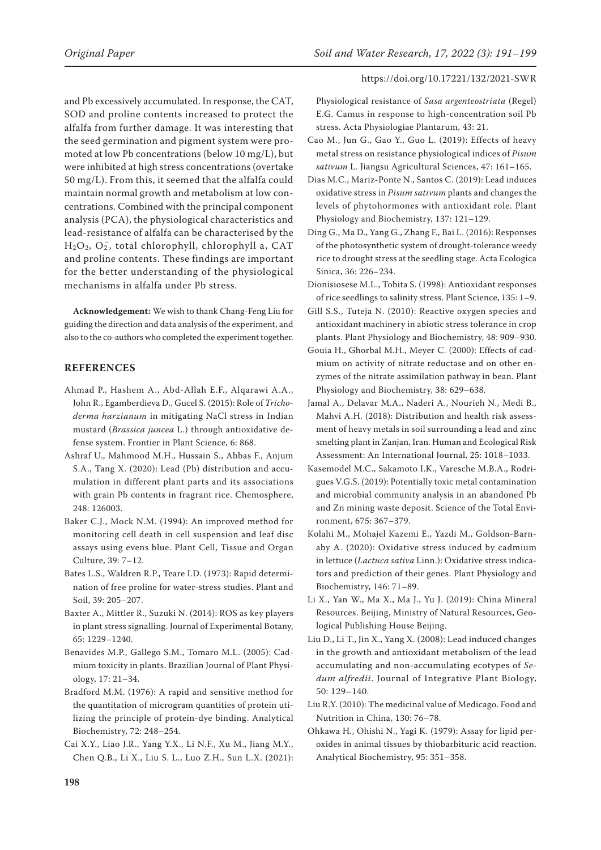and Pb excessively accumulated. In response, the CAT, SOD and proline contents increased to protect the alfalfa from further damage. It was interesting that the seed germination and pigment system were promoted at low Pb concentrations (below 10 mg/L), but were inhibited at high stress concentrations (overtake 50 mg/L). From this, it seemed that the alfalfa could maintain normal growth and metabolism at low concentrations. Combined with the principal component analysis (PCA), the physiological characteristics and lead-resistance of alfalfa can be characterised by the  $H<sub>2</sub>O<sub>2</sub>$ ,  $O<sub>2</sub>$ , total chlorophyll, chlorophyll a, CAT and proline contents. These findings are important for the better understanding of the physiological mechanisms in alfalfa under Pb stress.

**Acknowledgement:** We wish to thank Chang-Feng Liu for guiding the direction and data analysis of the experiment, and also to the co-authors who completed the experiment together.

# **REFERENCES**

- Ahmad P., Hashem A., Abd-Allah E.F., Alqarawi A.A., John R., Egamberdieva D., Gucel S. (2015): Role of *Trichoderma harzianum* in mitigating NaCl stress in Indian mustard (*Brassica juncea* L.) through antioxidative defense system. Frontier in Plant Science, 6: 868.
- Ashraf U., Mahmood M.H., Hussain S., Abbas F., Anjum S.A., Tang X. (2020): Lead (Pb) distribution and accumulation in different plant parts and its associations with grain Pb contents in fragrant rice. Chemosphere, 248: 126003.
- Baker C.J., Mock N.M. (1994): An improved method for monitoring cell death in cell suspension and leaf disc assays using evens blue. Plant Cell, Tissue and Organ Culture, 39: 7–12.
- Bates L.S., Waldren R.P., Teare I.D. (1973): Rapid determination of free proline for water-stress studies. Plant and Soil, 39: 205–207.
- Baxter A., Mittler R., Suzuki N. (2014): ROS as key players in plant stress signalling. Journal of Experimental Botany, 65: 1229–1240.
- Benavides M.P., Gallego S.M., Tomaro M.L. (2005): Cadmium toxicity in plants. Brazilian Journal of Plant Physiology, 17: 21–34.
- Bradford M.M. (1976): A rapid and sensitive method for the quantitation of microgram quantities of protein utilizing the principle of protein-dye binding. Analytical Biochemistry, 72: 248–254.
- Cai X.Y., Liao J.R., Yang Y.X., Li N.F., Xu M., Jiang M.Y., Chen Q.B., Li X., Liu S. L., Luo Z.H., Sun L.X. (2021):

Physiological resistance of *Sasa argenteostriata* (Regel) E.G. Camus in response to high-concentration soil Pb stress. Acta Physiologiae Plantarum, 43: 21.

- Cao M., Jun G., Gao Y., Guo L. (2019): Effects of heavy metal stress on resistance physiological indices of *Pisum sativum* L. Jiangsu Agricultural Sciences, 47: 161–165.
- Dias M.C., Mariz-Ponte N., Santos C. (2019): Lead induces oxidative stress in *Pisum sativum* plants and changes the levels of phytohormones with antioxidant role. Plant Physiology and Biochemistry, 137: 121–129.
- Ding G., Ma D., Yang G., Zhang F., Bai L. (2016): Responses of the photosynthetic system of drought-tolerance weedy rice to drought stress at the seedling stage. Acta Ecologica Sinica, 36: 226–234.
- Dionisiosese M.L., Tobita S. (1998): Antioxidant responses of rice seedlings to salinity stress. Plant Science, 135: 1–9.
- Gill S.S., Tuteja N. (2010): Reactive oxygen species and antioxidant machinery in abiotic stress tolerance in crop plants. Plant Physiology and Biochemistry, 48: 909–930.
- Gouia H., Ghorbal M.H., Meyer C. (2000): Effects of cadmium on activity of nitrate reductase and on other enzymes of the nitrate assimilation pathway in bean. Plant Physiology and Biochemistry, 38: 629–638.
- Jamal A., Delavar M.A., Naderi A., Nourieh N., Medi B., Mahvi A.H. (2018): Distribution and health risk assessment of heavy metals in soil surrounding a lead and zinc smelting plant in Zanjan, Iran. Human and Ecological Risk Assessment: An International Journal, 25: 1018–1033.
- Kasemodel M.C., Sakamoto I.K., Varesche M.B.A., Rodrigues V.G.S. (2019): Potentially toxic metal contamination and microbial community analysis in an abandoned Pb and Zn mining waste deposit. Science of the Total Environment, 675: 367–379.
- Kolahi M., Mohajel Kazemi E., Yazdi M., Goldson-Barnaby A. (2020): Oxidative stress induced by cadmium in lettuce (*Lactuca sativa* Linn.): Oxidative stress indicators and prediction of their genes. Plant Physiology and Biochemistry, 146: 71–89.
- Li X., Yan W., Ma X., Ma J., Yu J. (2019): China Mineral Resources. Beijing, Ministry of Natural Resources, Geological Publishing House Beijing.
- Liu D., Li T., Jin X., Yang X. (2008): Lead induced changes in the growth and antioxidant metabolism of the lead accumulating and non-accumulating ecotypes of *Sedum alfredii*. Journal of Integrative Plant Biology, 50: 129–140.
- Liu R.Y. (2010): The medicinal value of Medicago. Food and Nutrition in China, 130: 76–78.
- Ohkawa H., Ohishi N., Yagi K. (1979): Assay for lipid peroxides in animal tissues by thiobarbituric acid reaction. Analytical Biochemistry, 95: 351–358.